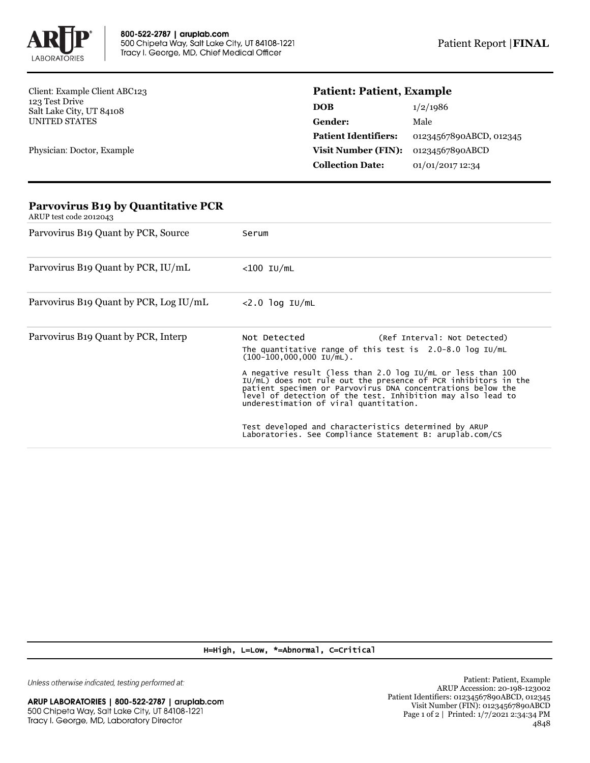

Client: Example Client ABC123 123 Test Drive Salt Lake City, UT 84108 UNITED STATES

Physician: Doctor, Example

## **Patient: Patient, Example**

| DOB                         | 1/2/1986                |
|-----------------------------|-------------------------|
| Gender:                     | Male                    |
| <b>Patient Identifiers:</b> | 01234567890ABCD, 012345 |
| <b>Visit Number (FIN):</b>  | 01234567890ABCD         |
| <b>Collection Date:</b>     | 01/01/2017 12:34        |

## **Parvovirus B19 by Quantitative PCR** ARUP test code 2012043 Parvovirus B19 Quant by PCR, Source Serum Parvovirus B19 Quant by PCR, IU/mL <100 IU/mL Parvovirus B19 Quant by PCR, Log IU/mL <2.0 log IU/mL Parvovirus B19 Quant by PCR, Interp Not Detected (Ref Interval: Not Detected) The quantitative range of this test is 2.0-8.0 log IU/mL (100-100,000,000 IU/mL). A negative result (less than 2.0 log IU/mL or less than 100 IU/mL) does not rule out the presence of PCR inhibitors in the patient specimen or Parvovirus DNA concentrations below the level of detection of the test. Inhibition may also lead to underestimation of viral quantitation. Test developed and characteristics determined by ARUP Laboratories. See Compliance Statement B: aruplab.com/CS

H=High, L=Low, \*=Abnormal, C=Critical

Unless otherwise indicated, testing performed at: